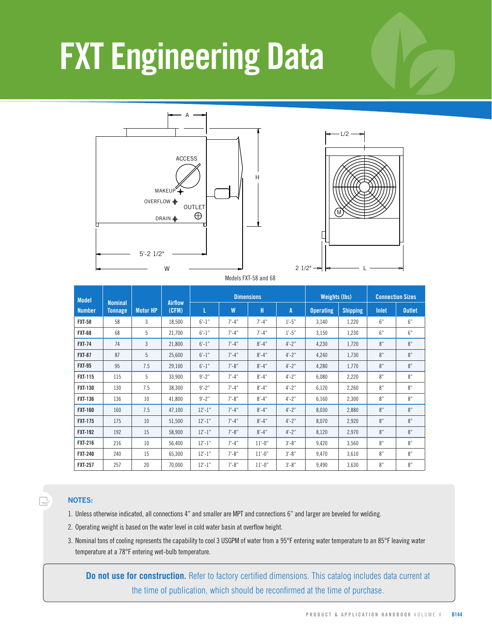# **FXT Engineering Data**





Models FXT-58 and 68

| <b>Model</b>   | <b>Nominal</b><br><b>Airflow</b> |                 |        | <b>Dimensions</b> |            |            |            | <b>Weights (lbs)</b> |                 | <b>Connection Sizes</b> |               |
|----------------|----------------------------------|-----------------|--------|-------------------|------------|------------|------------|----------------------|-----------------|-------------------------|---------------|
| <b>Number</b>  | <b>Tonnage</b>                   | <b>Motor HP</b> | (CFM)  | L                 | W          | н          | A          | <b>Operating</b>     | <b>Shipping</b> | Inlet                   | <b>Outlet</b> |
| <b>FXT-58</b>  | 58                               | 3               | 18,500 | $6' - 1''$        | $7' - 4''$ | $7' - 4''$ | $1'-5''$   | 3,140                | 1,220           | 6"                      | 6"            |
| <b>FXT-68</b>  | 68                               | 5               | 21,700 | $6' - 1''$        | $7' - 4''$ | $7' - 4''$ | $1'-5''$   | 3,150                | 1,230           | 6"                      | 6"            |
| <b>FXT-74</b>  | 74                               | 3               | 21,800 | $6' - 1''$        | $7' - 4"$  | $8' - 4"$  | $4'-2"$    | 4,230                | 1,720           | 8"                      | 8"            |
| <b>FXT-87</b>  | 87                               | 5               | 25,600 | $6' - 1''$        | $7' - 4''$ | $8' - 4"$  | $4'-2"$    | 4,240                | 1,730           | 8"                      | 8"            |
| <b>FXT-95</b>  | 95                               | 7.5             | 29,100 | $6' - 1''$        | $7' - 8"$  | $8' - 4"$  | $4' - 2''$ | 4,280                | 1,770           | 8"                      | 8"            |
| <b>FXT-115</b> | 115                              | 5               | 33.900 | $9' - 2''$        | $7' - 4''$ | $8' - 4"$  | $4' - 2''$ | 6,080                | 2,220           | 8"                      | 8"            |
| <b>FXT-130</b> | 130                              | 7.5             | 38,300 | $9' - 2"$         | $7' - 4''$ | $8' - 4"$  | $4'-2"$    | 6,120                | 2,260           | 8"                      | 8"            |
| <b>FXT-136</b> | 136                              | 10              | 41,800 | $9' - 2''$        | $7' - 8"$  | $8' - 4"$  | $4'-2"$    | 6,160                | 2,300           | 8"                      | 8"            |
| <b>FXT-160</b> | 160                              | 7.5             | 47,100 | $12'-1$ "         | $7' - 4''$ | $8' - 4"$  | $4'-2"$    | 8,030                | 2,880           | 8"                      | 8"            |
| <b>FXT-175</b> | 175                              | 10              | 51,500 | $12'-1$ "         | $7' - 4"$  | $8' - 4"$  | $4' - 2''$ | 8,070                | 2,920           | 8"                      | 8"            |
| <b>FXT-192</b> | 192                              | 15              | 58,900 | $12'-1$ "         | $7' - 8"$  | $8' - 4"$  | $4'-2"$    | 8,120                | 2,970           | 8"                      | 8"            |
| <b>FXT-216</b> | 216                              | 10              | 56,400 | $12' - 1''$       | $7' - 4''$ | $11'-0''$  | $3'-8"$    | 9,420                | 3,560           | 8"                      | 8"            |
| <b>FXT-240</b> | 240                              | 15              | 65,300 | $12' - 1''$       | $7' - 8"$  | $11'-0''$  | $3'-8"$    | 9,470                | 3,610           | 8"                      | 8"            |
| <b>FXT-257</b> | 257                              | 20              | 70,000 | $12' - 1''$       | $7' - 8''$ | $11'-0''$  | $3' - 8''$ | 9,490                | 3,630           | 8"                      | 8"            |

#### **NOTES:**

Q

- 1. Unless otherwise indicated, all connections 4" and smaller are MPT and connections 6" and larger are beveled for welding.
- 2. Operating weight is based on the water level in cold water basin at overflow height.
- 3. Nominal tons of cooling represents the capability to cool 3 USGPM of water from a 95°F entering water temperature to an 85°F leaving water temperature at a 78°F entering wet-bulb temperature.

**Do not use for construction.** Refer to factory certified dimensions. This catalog includes data current at the time of publication, which should be reconfirmed at the time of purchase.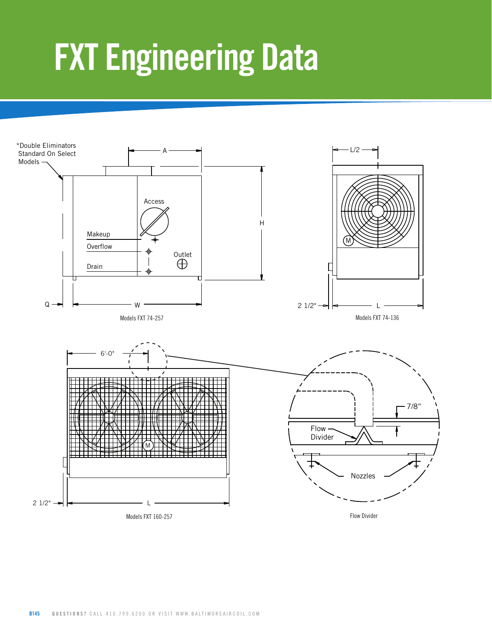### **FXT Engineering Data**